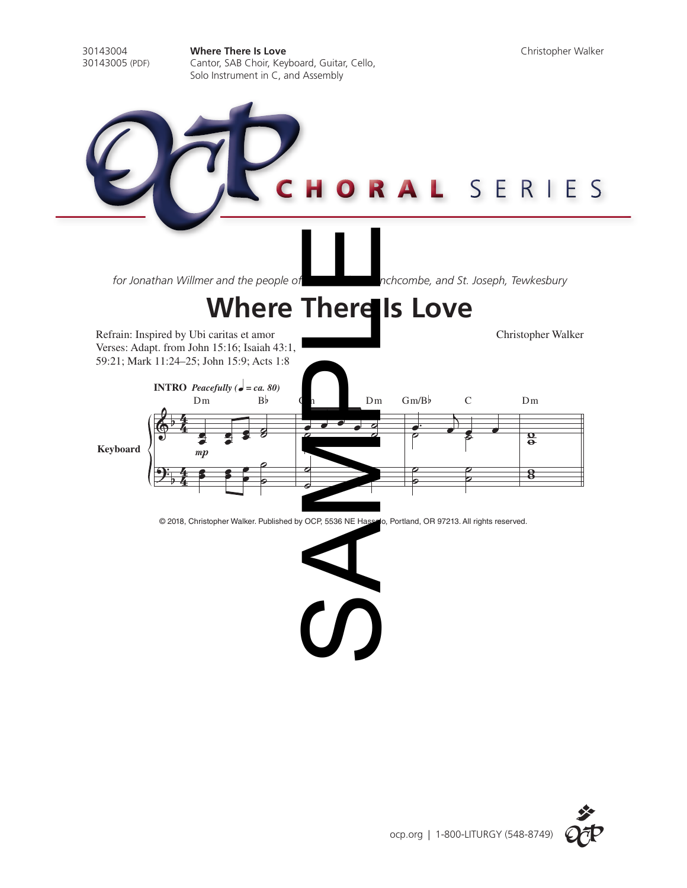30143004 **Where There Is Love** Christopher Walker Cantor, SAB Choir, Keyboard, Guitar, Cello, Solo Instrument in C, and Assembly ORAL SERIES SAMPLE*for Jonathan Willmer and the people of* **St. Joseph, Temple of St. Joseph, Tewkesbury Where There Is Love** Refrain: Inspired by Ubi caritas et amor Christopher Walker Verses: Adapt. from John 15:16; Isaiah 43:1, 59:21; Mark 11:24–25; John 15:9; Acts 1:8 **INTRO** *Peacefully* ( $\boldsymbol{\phi} = ca. 80$ ) Dm B<sub>b</sub> D<sub>m</sub> Gm/Bb C Dm 4  $\cdot$   $\cdot$ b  $\frac{e}{a}$  $\Phi$ 4<br>4  $\frac{1}{2}$   $\frac{2}{5}$  $e^i$   $e^i$ œ œ œ  $\frac{1}{\epsilon}$  $\boldsymbol{s}$ o<br>0 **Keyboard**  $mp$  $\begin{array}{c} \bullet \\ \bullet \\ \bullet \end{array}$  $\mathbf{e}$  $\overline{\bullet}$  $\overline{a}$ ˙ ˙  $\frac{1}{2}$ 4 œ  $\frac{1}{2}$  $\overrightarrow{a}$ ˙  $\frac{8}{5}$  $\bf{8}$ b  $\frac{4}{4}$ ˙ © 2018, Christopher Walker. Published by OCP, 5536 NE Hassalo, Portland, OR 97213. All rights reserved.  $\sum_{i=1}^{n}$ 

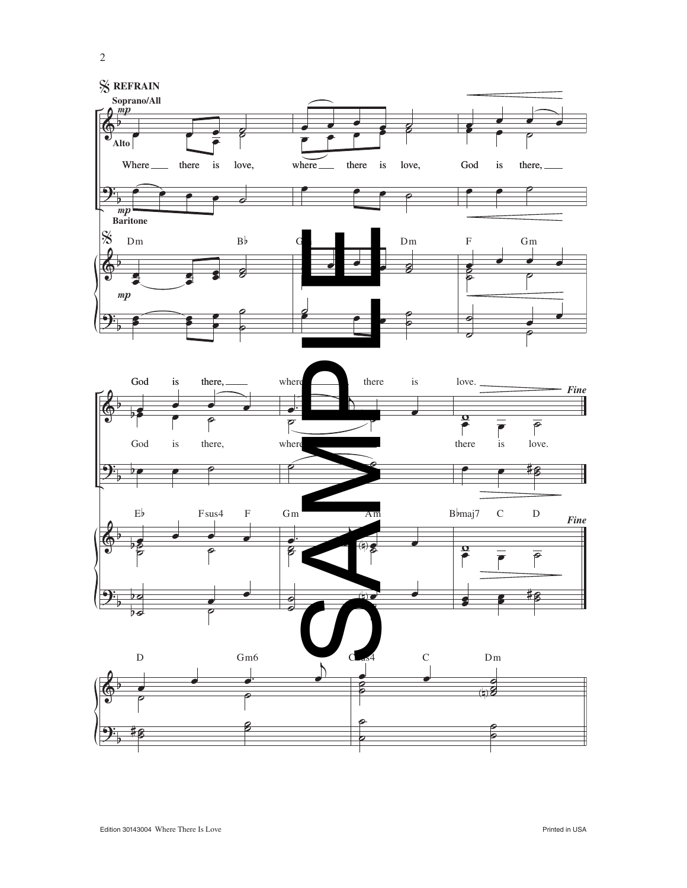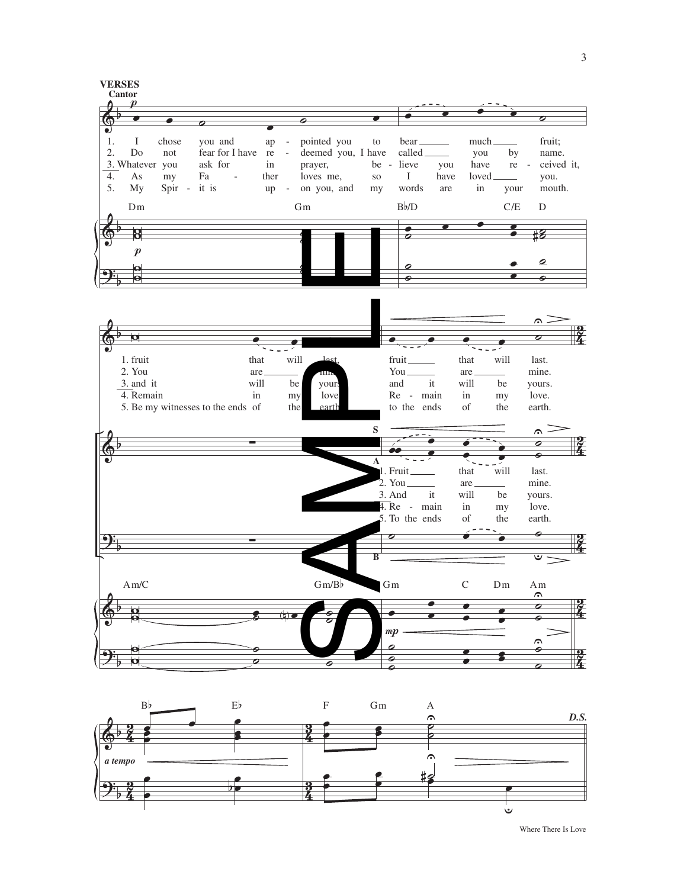



Where There Is Love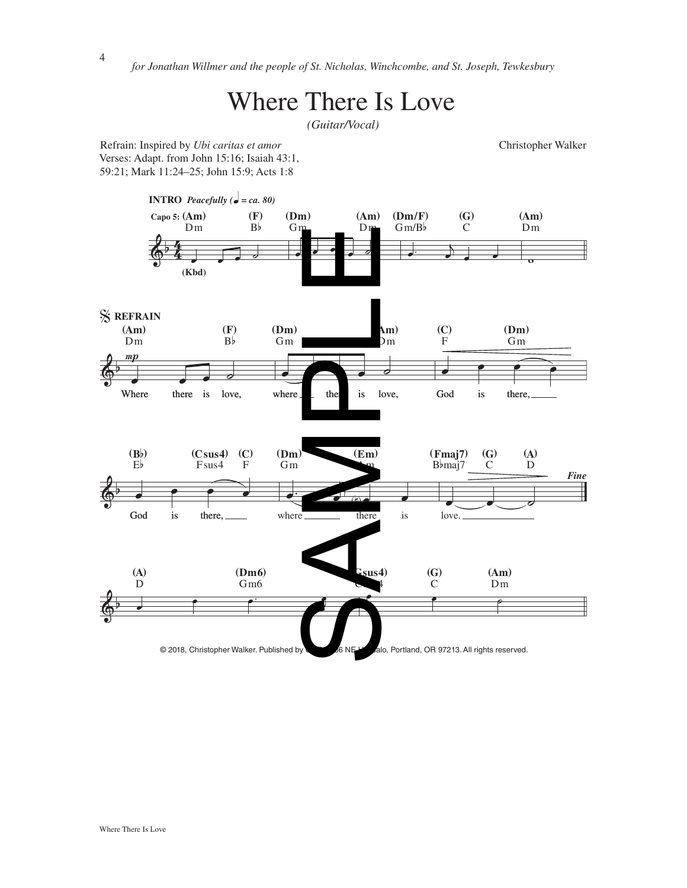*for Jonathan Willmer and the people of St. Nicholas, Winchcombe, and St. Joseph, Tewkesbury*

## Where There Is Love

*(Guitar/Vocal)*

Refrain: Inspired by *Ubi caritas et amor* Christopher Walker Verses: Adapt. from John 15:16; Isaiah 43:1, 59:21; Mark 11:24–25; John 15:9; Acts 1:8

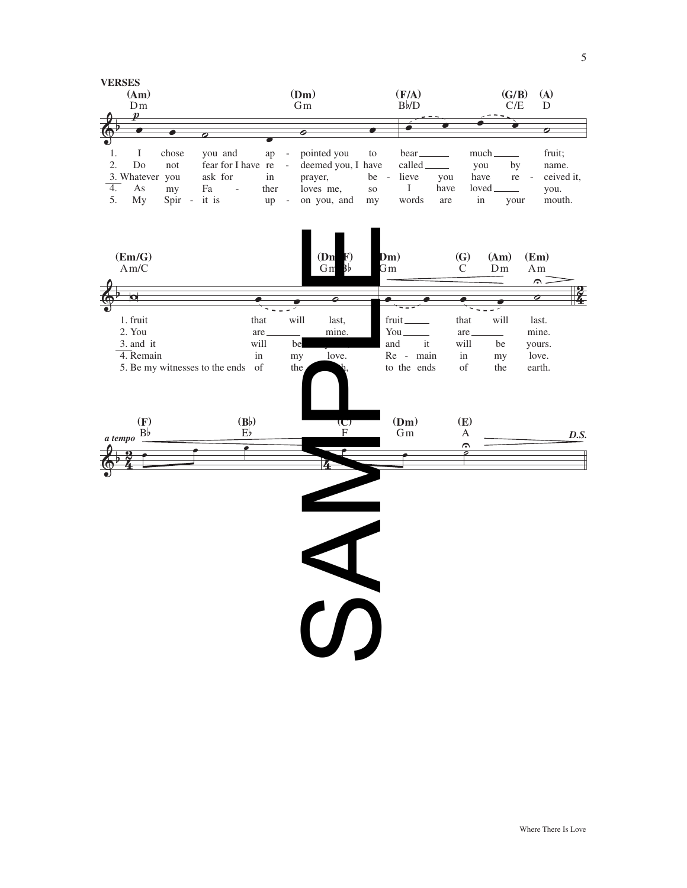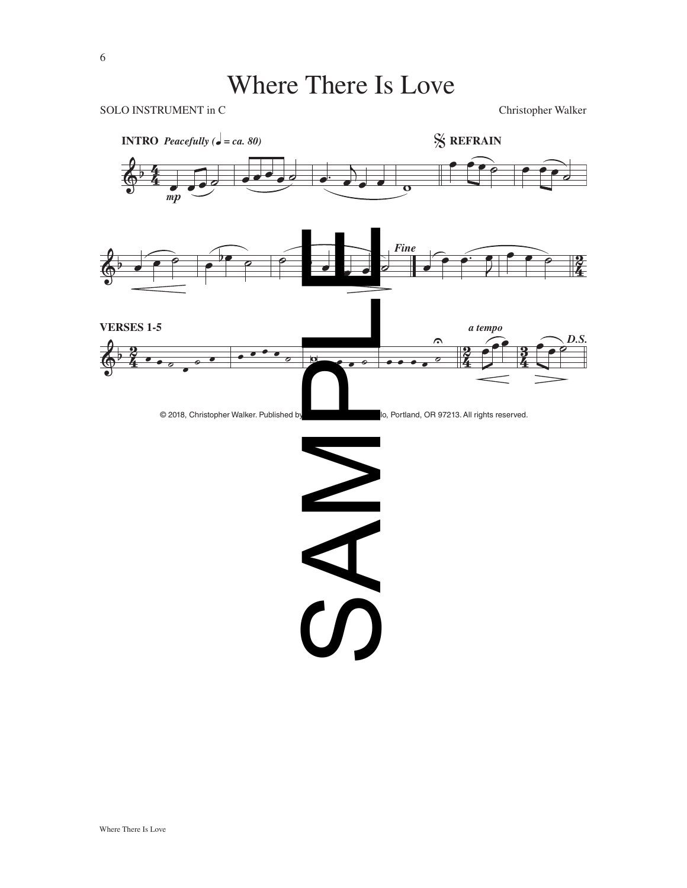## Where There Is Love

SOLO INSTRUMENT in C<br>
Christopher Walker

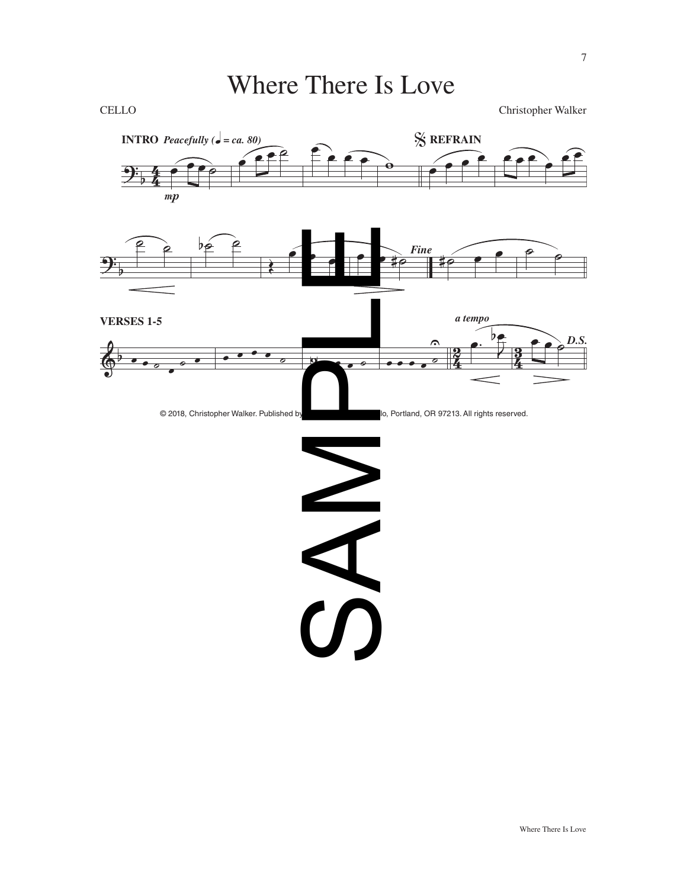## Where There Is Love

CELLO Christopher Walker